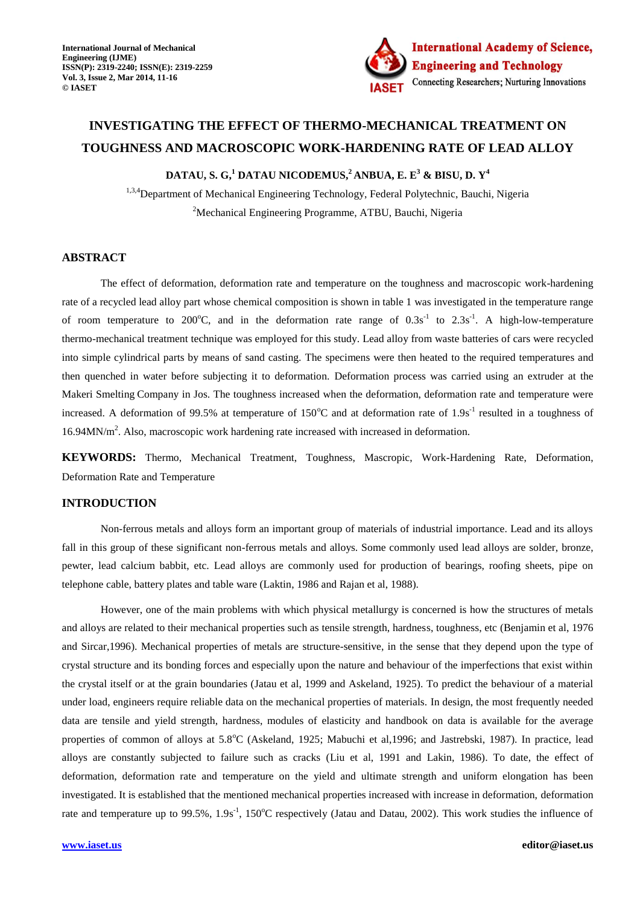

# **INVESTIGATING THE EFFECT OF THERMO-MECHANICAL TREATMENT ON TOUGHNESS AND MACROSCOPIC WORK-HARDENING RATE OF LEAD ALLOY**

**DATAU, S. G, <sup>1</sup> DATAU NICODEMUS,<sup>2</sup> ANBUA, E. E<sup>3</sup> & BISU, D. Y<sup>4</sup>**

<sup>1,3,4</sup>Department of Mechanical Engineering Technology, Federal Polytechnic, Bauchi, Nigeria <sup>2</sup>Mechanical Engineering Programme, ATBU, Bauchi, Nigeria

# **ABSTRACT**

The effect of deformation, deformation rate and temperature on the toughness and macroscopic work-hardening rate of a recycled lead alloy part whose chemical composition is shown in table 1 was investigated in the temperature range of room temperature to 200°C, and in the deformation rate range of  $0.3s^{-1}$  to  $2.3s^{-1}$ . A high-low-temperature thermo-mechanical treatment technique was employed for this study. Lead alloy from waste batteries of cars were recycled into simple cylindrical parts by means of sand casting. The specimens were then heated to the required temperatures and then quenched in water before subjecting it to deformation. Deformation process was carried using an extruder at the Makeri Smelting Company in Jos. The toughness increased when the deformation, deformation rate and temperature were increased. A deformation of 99.5% at temperature of  $150^{\circ}$ C and at deformation rate of  $1.9s<sup>-1</sup>$  resulted in a toughness of 16.94MN/m<sup>2</sup>. Also, macroscopic work hardening rate increased with increased in deformation.

**KEYWORDS:** Thermo, Mechanical Treatment, Toughness, Mascropic, Work-Hardening Rate, Deformation, Deformation Rate and Temperature

## **INTRODUCTION**

Non-ferrous metals and alloys form an important group of materials of industrial importance. Lead and its alloys fall in this group of these significant non-ferrous metals and alloys. Some commonly used lead alloys are solder, bronze, pewter, lead calcium babbit, etc. Lead alloys are commonly used for production of bearings, roofing sheets, pipe on telephone cable, battery plates and table ware (Laktin, 1986 and Rajan et al, 1988).

However, one of the main problems with which physical metallurgy is concerned is how the structures of metals and alloys are related to their mechanical properties such as tensile strength, hardness, toughness, etc (Benjamin et al, 1976 and Sircar,1996). Mechanical properties of metals are structure-sensitive, in the sense that they depend upon the type of crystal structure and its bonding forces and especially upon the nature and behaviour of the imperfections that exist within the crystal itself or at the grain boundaries (Jatau et al, 1999 and Askeland, 1925). To predict the behaviour of a material under load, engineers require reliable data on the mechanical properties of materials. In design, the most frequently needed data are tensile and yield strength, hardness, modules of elasticity and handbook on data is available for the average properties of common of alloys at 5.8°C (Askeland, 1925; Mabuchi et al,1996; and Jastrebski, 1987). In practice, lead alloys are constantly subjected to failure such as cracks (Liu et al, 1991 and Lakin, 1986). To date, the effect of deformation, deformation rate and temperature on the yield and ultimate strength and uniform elongation has been investigated. It is established that the mentioned mechanical properties increased with increase in deformation, deformation rate and temperature up to 99.5%,  $1.9s<sup>-1</sup>$ ,  $150^{\circ}$ C respectively (Jatau and Datau, 2002). This work studies the influence of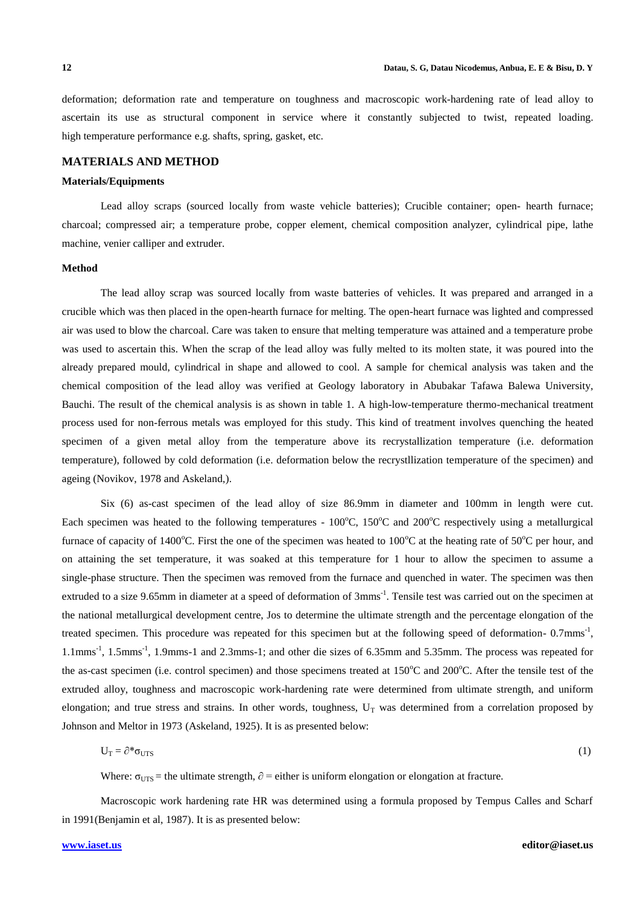deformation; deformation rate and temperature on toughness and macroscopic work-hardening rate of lead alloy to ascertain its use as structural component in service where it constantly subjected to twist, repeated loading. high temperature performance e.g. shafts, spring, gasket, etc.

## **MATERIALS AND METHOD**

### **Materials/Equipments**

Lead alloy scraps (sourced locally from waste vehicle batteries); Crucible container; open- hearth furnace; charcoal; compressed air; a temperature probe, copper element, chemical composition analyzer, cylindrical pipe, lathe machine, venier calliper and extruder.

## **Method**

The lead alloy scrap was sourced locally from waste batteries of vehicles. It was prepared and arranged in a crucible which was then placed in the open-hearth furnace for melting. The open-heart furnace was lighted and compressed air was used to blow the charcoal. Care was taken to ensure that melting temperature was attained and a temperature probe was used to ascertain this. When the scrap of the lead alloy was fully melted to its molten state, it was poured into the already prepared mould, cylindrical in shape and allowed to cool. A sample for chemical analysis was taken and the chemical composition of the lead alloy was verified at Geology laboratory in Abubakar Tafawa Balewa University, Bauchi. The result of the chemical analysis is as shown in table 1. A high-low-temperature thermo-mechanical treatment process used for non-ferrous metals was employed for this study. This kind of treatment involves quenching the heated specimen of a given metal alloy from the temperature above its recrystallization temperature (i.e. deformation temperature), followed by cold deformation (i.e. deformation below the recrystllization temperature of the specimen) and ageing (Novikov, 1978 and Askeland,).

Six (6) as-cast specimen of the lead alloy of size 86.9mm in diameter and 100mm in length were cut. Each specimen was heated to the following temperatures -  $100^{\circ}$ C,  $150^{\circ}$ C and  $200^{\circ}$ C respectively using a metallurgical furnace of capacity of 1400<sup>o</sup>C. First the one of the specimen was heated to 100<sup>o</sup>C at the heating rate of 50<sup>o</sup>C per hour, and on attaining the set temperature, it was soaked at this temperature for 1 hour to allow the specimen to assume a single-phase structure. Then the specimen was removed from the furnace and quenched in water. The specimen was then extruded to a size 9.65mm in diameter at a speed of deformation of 3mms<sup>-1</sup>. Tensile test was carried out on the specimen at the national metallurgical development centre, Jos to determine the ultimate strength and the percentage elongation of the treated specimen. This procedure was repeated for this specimen but at the following speed of deformation-0.7mms<sup>-1</sup>, 1.1mms<sup>-1</sup>, 1.5mms<sup>-1</sup>, 1.9mms-1 and 2.3mms-1; and other die sizes of 6.35mm and 5.35mm. The process was repeated for the as-cast specimen (i.e. control specimen) and those specimens treated at  $150^{\circ}$ C and  $200^{\circ}$ C. After the tensile test of the extruded alloy, toughness and macroscopic work-hardening rate were determined from ultimate strength, and uniform elongation; and true stress and strains. In other words, toughness,  $U_T$  was determined from a correlation proposed by Johnson and Meltor in 1973 (Askeland, 1925). It is as presented below:

$$
U_T = \partial^* \sigma_{UTS} \tag{1}
$$

Where:  $\sigma_{UTS}$  = the ultimate strength,  $\partial$  = either is uniform elongation or elongation at fracture.

Macroscopic work hardening rate HR was determined using a formula proposed by Tempus Calles and Scharf in 1991(Benjamin et al, 1987). It is as presented below: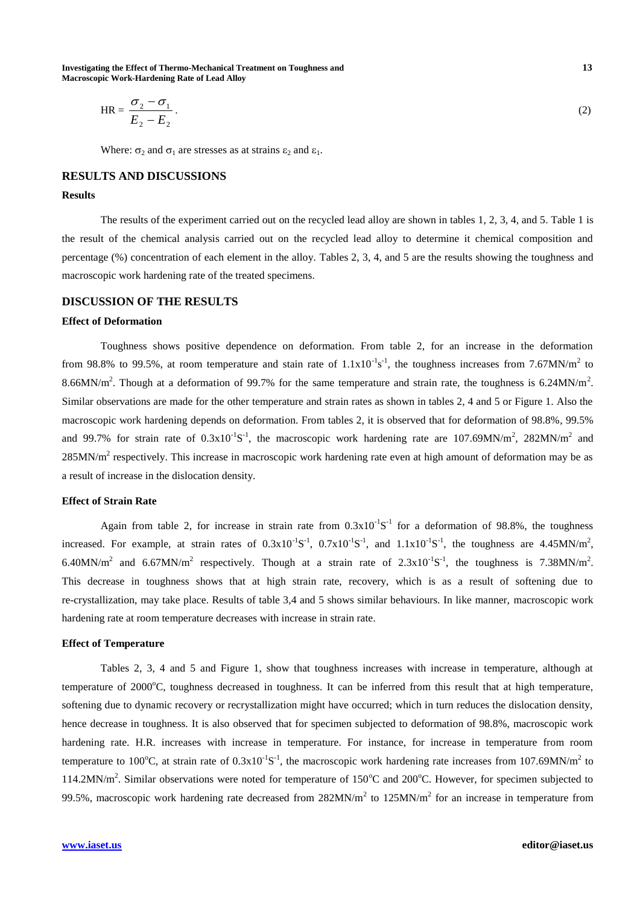**Investigating the Effect of Thermo-Mechanical Treatment on Toughness and 13 Macroscopic Work-Hardening Rate of Lead Alloy** 

$$
HR = \frac{\sigma_2 - \sigma_1}{E_2 - E_2}.
$$
 (2)

Where:  $\sigma_2$  and  $\sigma_1$  are stresses as at strains  $\varepsilon_2$  and  $\varepsilon_1$ .

# **RESULTS AND DISCUSSIONS**

#### **Results**

The results of the experiment carried out on the recycled lead alloy are shown in tables 1, 2, 3, 4, and 5. Table 1 is the result of the chemical analysis carried out on the recycled lead alloy to determine it chemical composition and percentage (%) concentration of each element in the alloy. Tables 2, 3, 4, and 5 are the results showing the toughness and macroscopic work hardening rate of the treated specimens.

# **DISCUSSION OF THE RESULTS**

## **Effect of Deformation**

Toughness shows positive dependence on deformation. From table 2, for an increase in the deformation from 98.8% to 99.5%, at room temperature and stain rate of  $1.1x10^{-1}s^{-1}$ , the toughness increases from 7.67MN/m<sup>2</sup> to 8.66MN/m<sup>2</sup>. Though at a deformation of 99.7% for the same temperature and strain rate, the toughness is 6.24MN/m<sup>2</sup>. Similar observations are made for the other temperature and strain rates as shown in tables 2, 4 and 5 or Figure 1. Also the macroscopic work hardening depends on deformation. From tables 2, it is observed that for deformation of 98.8%, 99.5% and 99.7% for strain rate of  $0.3x10^{-1}S^{-1}$ , the macroscopic work hardening rate are 107.69MN/m<sup>2</sup>, 282MN/m<sup>2</sup> and  $285MN/m<sup>2</sup>$  respectively. This increase in macroscopic work hardening rate even at high amount of deformation may be as a result of increase in the dislocation density.

## **Effect of Strain Rate**

Again from table 2, for increase in strain rate from  $0.3x10^{-1}S^{-1}$  for a deformation of 98.8%, the toughness increased. For example, at strain rates of  $0.3 \times 10^{-1}$ S<sup>-1</sup>,  $0.7 \times 10^{-1}$ S<sup>-1</sup>, and  $1.1 \times 10^{-1}$ S<sup>-1</sup>, the toughness are 4.45MN/m<sup>2</sup>, 6.40MN/m<sup>2</sup> and 6.67MN/m<sup>2</sup> respectively. Though at a strain rate of  $2.3 \times 10^{-1}$ S<sup>-1</sup>, the toughness is 7.38MN/m<sup>2</sup>. This decrease in toughness shows that at high strain rate, recovery, which is as a result of softening due to re-crystallization, may take place. Results of table 3,4 and 5 shows similar behaviours. In like manner, macroscopic work hardening rate at room temperature decreases with increase in strain rate.

## **Effect of Temperature**

Tables 2, 3, 4 and 5 and Figure 1, show that toughness increases with increase in temperature, although at temperature of  $2000^{\circ}$ C, toughness decreased in toughness. It can be inferred from this result that at high temperature, softening due to dynamic recovery or recrystallization might have occurred; which in turn reduces the dislocation density, hence decrease in toughness. It is also observed that for specimen subjected to deformation of 98.8%, macroscopic work hardening rate. H.R. increases with increase in temperature. For instance, for increase in temperature from room temperature to 100°C, at strain rate of  $0.3x10^{-1}S^{-1}$ , the macroscopic work hardening rate increases from 107.69MN/m<sup>2</sup> to 114.2MN/m<sup>2</sup>. Similar observations were noted for temperature of 150°C and 200°C. However, for specimen subjected to 99.5%, macroscopic work hardening rate decreased from  $282MN/m<sup>2</sup>$  to  $125MN/m<sup>2</sup>$  for an increase in temperature from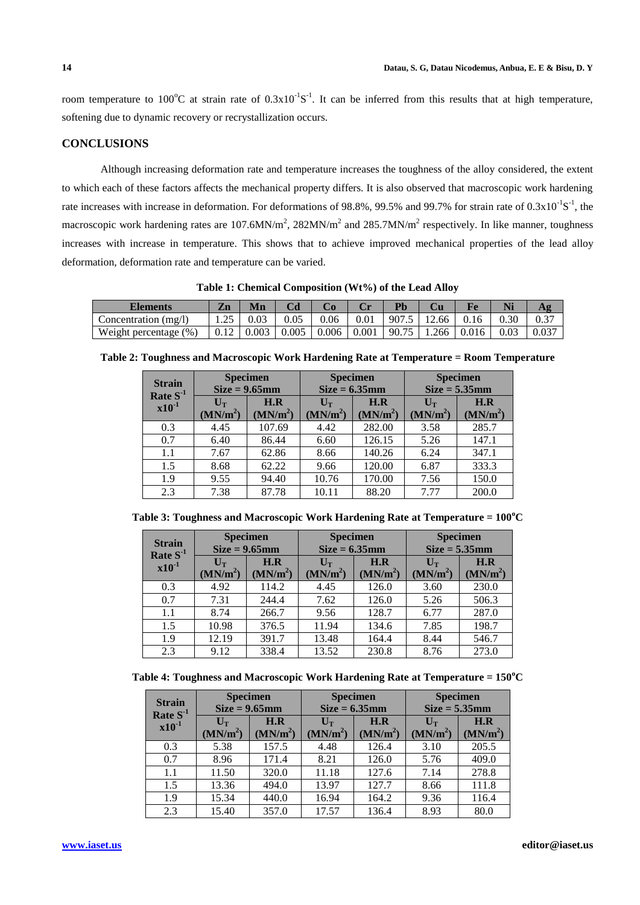room temperature to 100<sup>o</sup>C at strain rate of  $0.3x10^{-1}S^{-1}$ . It can be inferred from this results that at high temperature, softening due to dynamic recovery or recrystallization occurs.

# **CONCLUSIONS**

Although increasing deformation rate and temperature increases the toughness of the alloy considered, the extent to which each of these factors affects the mechanical property differs. It is also observed that macroscopic work hardening rate increases with increase in deformation. For deformations of 98.8%, 99.5% and 99.7% for strain rate of  $0.3 \times 10^{-1}$ S<sup>-1</sup>, the macroscopic work hardening rates are 107.6MN/m<sup>2</sup>, 282MN/m<sup>2</sup> and 285.7MN/m<sup>2</sup> respectively. In like manner, toughness increases with increase in temperature. This shows that to achieve improved mechanical properties of the lead alloy deformation, deformation rate and temperature can be varied.

| <b>Elements</b>        | Zn     | Mn    |       |       |       | Pl    |       |       | Ni   |       |
|------------------------|--------|-------|-------|-------|-------|-------|-------|-------|------|-------|
| Concentration $(mg/l)$ | ل که ۱ | 0.03  | 0.05  | 0.06  | 0.01  | 907.5 | 12.66 | 0.16  | 0.30 | 0.37  |
| Weight percentage (%)  | 0.12   | 0.003 | 0.005 | 0.006 | 0.001 | 90.75 | 1.266 | 0.016 | 0.03 | 0.037 |

**Table 1: Chemical Composition (Wt%) of the Lead Alloy**

|  |  |  | Table 2: Toughness and Macroscopic Work Hardening Rate at Temperature = Room Temperature |  |
|--|--|--|------------------------------------------------------------------------------------------|--|
|  |  |  |                                                                                          |  |

| <b>Specimen</b><br><b>Strain</b> |                      |                      | <b>Specimen</b>      |                      | <b>Specimen</b>           |                      |  |
|----------------------------------|----------------------|----------------------|----------------------|----------------------|---------------------------|----------------------|--|
| Rate $S-1$                       |                      | $Size = 9.65mm$      | $Size = 6.35mm$      |                      | $Size = 5.35mm$           |                      |  |
| $x10^{-1}$                       | $U_T$                | H.R                  | $U_T$                | H.R                  | $\mathbf{U}_{\mathbf{T}}$ | H.R                  |  |
|                                  | (MN/m <sup>2</sup> ) | (MN/m <sup>2</sup> ) | (MN/m <sup>2</sup> ) | (MN/m <sup>2</sup> ) | (MN/m <sup>2</sup> )      | (MN/m <sup>2</sup> ) |  |
| 0.3                              | 4.45                 | 107.69               | 4.42                 | 282.00               | 3.58                      | 285.7                |  |
| 0.7                              | 6.40                 | 86.44                | 6.60                 | 126.15               | 5.26                      | 147.1                |  |
| 1.1                              | 7.67                 | 62.86                | 8.66                 | 140.26               | 6.24                      | 347.1                |  |
| 1.5                              | 8.68                 | 62.22                | 9.66                 | 120.00               | 6.87                      | 333.3                |  |
| 1.9                              | 9.55                 | 94.40                | 10.76                | 170.00               | 7.56                      | 150.0                |  |
| 2.3                              | 7.38                 | 87.78                | 10.11                | 88.20                | 7.77                      | 200.0                |  |

|  | Table 3: Toughness and Macroscopic Work Hardening Rate at Temperature = $100^{\circ}$ C |  |  |  |
|--|-----------------------------------------------------------------------------------------|--|--|--|
|  |                                                                                         |  |  |  |

| <b>Strain</b>       | <b>Specimen</b>           |                      | <b>Specimen</b>           |                      | <b>Specimen</b>      |                      |  |
|---------------------|---------------------------|----------------------|---------------------------|----------------------|----------------------|----------------------|--|
| Rate $S-1$          | $Size = 9.65mm$           |                      | $Size = 6.35mm$           |                      | $Size = 5.35mm$      |                      |  |
| $\mathbf{X}10^{-1}$ | $\mathbf{U}_{\mathbf{T}}$ | H.R                  | $\mathbf{U}_{\mathbf{T}}$ | H.R                  | $\mathbf{U_{T}}$     | H.R                  |  |
|                     | (MN/m <sup>2</sup> )      | (MN/m <sup>2</sup> ) | (MN/m <sup>2</sup> )      | (MN/m <sup>2</sup> ) | (MN/m <sup>2</sup> ) | (MN/m <sup>2</sup> ) |  |
| 0.3                 | 4.92                      | 114.2                | 4.45                      | 126.0                | 3.60                 | 230.0                |  |
| 0.7                 | 7.31                      | 244.4                | 7.62                      | 126.0                | 5.26                 | 506.3                |  |
| 1.1                 | 8.74                      | 266.7                | 9.56                      | 128.7                | 6.77                 | 287.0                |  |
| 1.5                 | 10.98                     | 376.5                | 11.94                     | 134.6                | 7.85                 | 198.7                |  |
| 1.9                 | 12.19                     | 391.7                | 13.48                     | 164.4                | 8.44                 | 546.7                |  |
| 2.3                 | 9.12                      | 338.4                | 13.52                     | 230.8                | 8.76                 | 273.0                |  |

**Table 4: Toughness and Macroscopic Work Hardening Rate at Temperature = 150<sup>o</sup>C**

| <b>Strain</b><br>Rate $S-1$ | <b>Specimen</b><br>$Size = 9.65$ mm      |                             | <b>Specimen</b><br>$Size = 6.35mm$       |                             | <b>Specimen</b><br>$Size = 5.35mm$                |                             |  |
|-----------------------------|------------------------------------------|-----------------------------|------------------------------------------|-----------------------------|---------------------------------------------------|-----------------------------|--|
| $x10^{-1}$                  | $\mathbf{U_{T}}$<br>(MN/m <sup>2</sup> ) | H.R<br>(MN/m <sup>2</sup> ) | $\mathbf{U_{T}}$<br>(MN/m <sup>2</sup> ) | H.R<br>(MN/m <sup>2</sup> ) | $\mathbf{U}_{\mathbf{T}}$<br>(MN/m <sup>2</sup> ) | H.R<br>(MN/m <sup>2</sup> ) |  |
| 0.3                         | 5.38                                     | 157.5                       | 4.48                                     | 126.4                       | 3.10                                              | 205.5                       |  |
| 0.7                         | 8.96                                     | 171.4                       | 8.21                                     | 126.0                       | 5.76                                              | 409.0                       |  |
| 1.1                         | 11.50                                    | 320.0                       | 11.18                                    | 127.6                       | 7.14                                              | 278.8                       |  |
| 1.5                         | 13.36                                    | 494.0                       | 13.97                                    | 127.7                       | 8.66                                              | 111.8                       |  |
| 1.9                         | 15.34                                    | 440.0                       | 16.94                                    | 164.2                       | 9.36                                              | 116.4                       |  |
| 2.3                         | 15.40                                    | 357.0                       | 17.57                                    | 136.4                       | 8.93                                              | 80.0                        |  |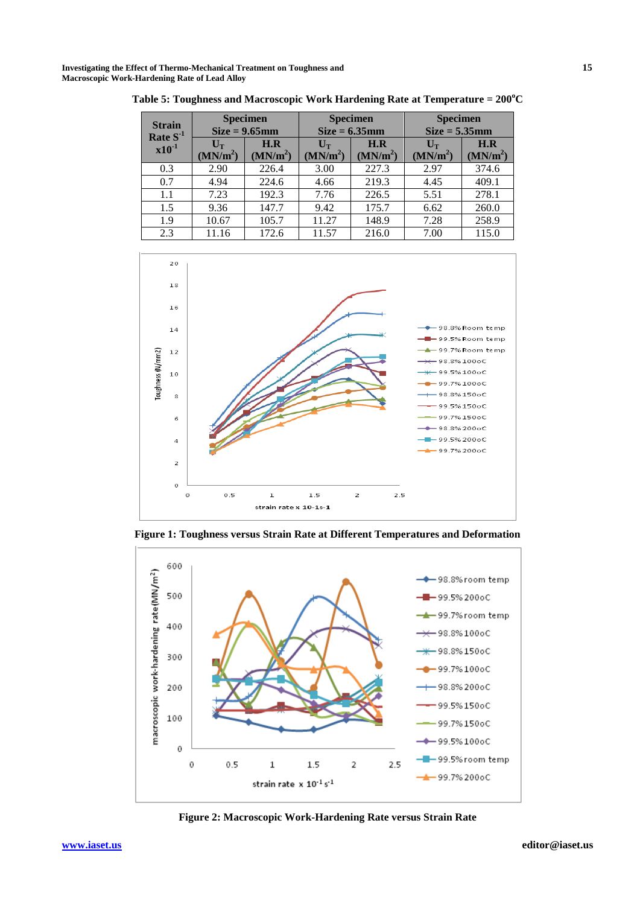**Investigating the Effect of Thermo-Mechanical Treatment on Toughness and 15 Macroscopic Work-Hardening Rate of Lead Alloy** 

| <b>Specimen</b><br><b>Strain</b><br>$Size = 9.65mm$<br>Rate $S-1$ |                                          |                             | <b>Specimen</b><br>$Size = 6.35mm$       | <b>Specimen</b><br>$Size = 5.35mm$ |                                          |                             |
|-------------------------------------------------------------------|------------------------------------------|-----------------------------|------------------------------------------|------------------------------------|------------------------------------------|-----------------------------|
| $x10^{-1}$                                                        | $\mathbf{U_{T}}$<br>(MN/m <sup>2</sup> ) | H.R<br>(MN/m <sup>2</sup> ) | $\mathbf{U_{T}}$<br>(MN/m <sup>2</sup> ) | H.R<br>(MN/m <sup>2</sup> )        | $\mathbf{U_{T}}$<br>(MN/m <sup>2</sup> ) | H.R<br>(MN/m <sup>2</sup> ) |
| 0.3                                                               | 2.90                                     | 226.4                       | 3.00                                     | 227.3                              | 2.97                                     | 374.6                       |
| 0.7                                                               | 4.94                                     | 224.6                       | 4.66                                     | 219.3                              | 4.45                                     | 409.1                       |
| 1.1                                                               | 7.23                                     | 192.3                       | 7.76                                     | 226.5                              | 5.51                                     | 278.1                       |
| 1.5                                                               | 9.36                                     | 147.7                       | 9.42                                     | 175.7                              | 6.62                                     | 260.0                       |
| 1.9                                                               | 10.67                                    | 105.7                       | 11.27                                    | 148.9                              | 7.28                                     | 258.9                       |
| 2.3                                                               | 11.16                                    | 172.6                       | 11.57                                    | 216.0                              | 7.00                                     | 115.0                       |

**Table 5: Toughness and Macroscopic Work Hardening Rate at Temperature = 200<sup>o</sup>C**



**Figure 1: Toughness versus Strain Rate at Different Temperatures and Deformation**



**Figure 2: Macroscopic Work-Hardening Rate versus Strain Rate**